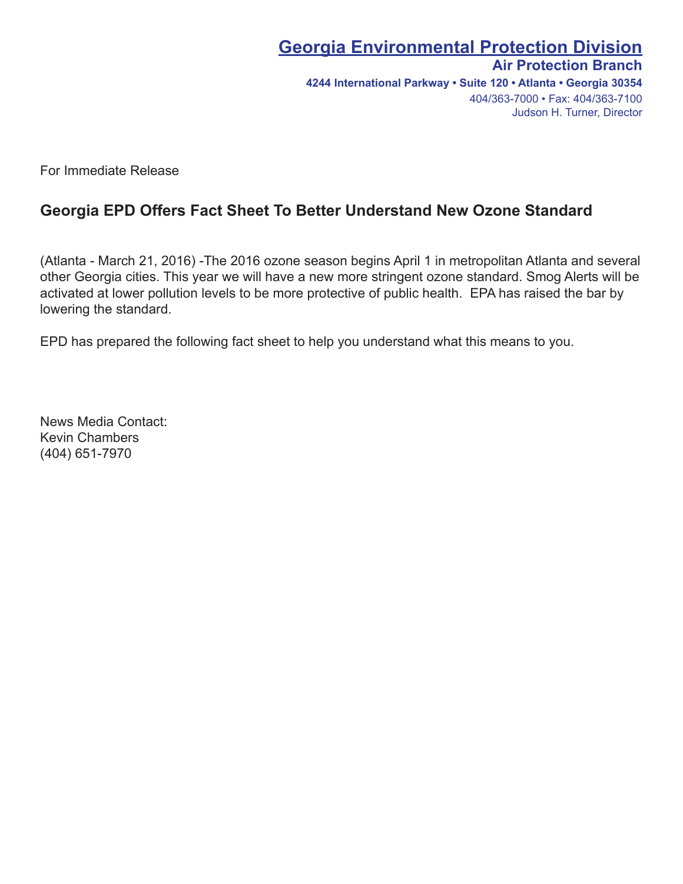# **Georgia Environmental Protection Division**

### **Air Protection Branch**

**4244 International Parkway • Suite 120 • Atlanta • Georgia 30354** 404/363-7000 • Fax: 404/363-7100 Judson H. Turner, Director

For Immediate Release

## **Georgia EPD Offers Fact Sheet To Better Understand New Ozone Standard**

(Atlanta - March 21, 2016) -The 2016 ozone season begins April 1 in metropolitan Atlanta and several other Georgia cities. This year we will have a new more stringent ozone standard. Smog Alerts will be activated at lower pollution levels to be more protective of public health. EPA has raised the bar by lowering the standard.

EPD has prepared the following fact sheet to help you understand what this means to you.

News Media Contact: Kevin Chambers (404) 651-7970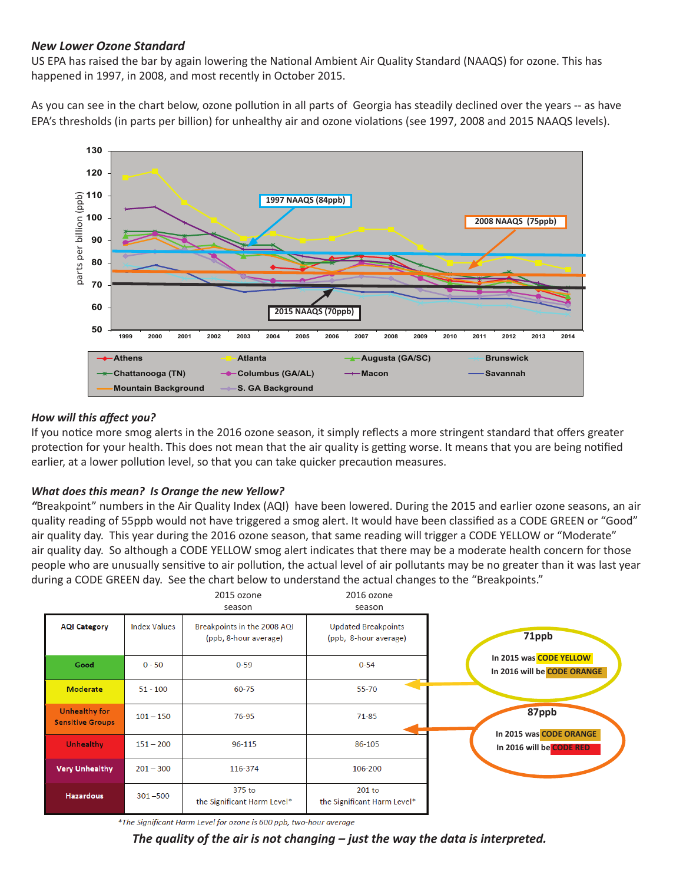#### *New Lower Ozone Standard*

US EPA has raised the bar by again lowering the National Ambient Air Quality Standard (NAAQS) for ozone. This has happened in 1997, in 2008, and most recently in October 2015.

As you can see in the chart below, ozone pollution in all parts of Georgia has steadily declined over the years -- as have EPA's thresholds (in parts per billion) for unhealthy air and ozone violations (see 1997, 2008 and 2015 NAAQS levels).



#### *How will this affect you?*

If you notice more smog alerts in the 2016 ozone season, it simply reflects a more stringent standard that offers greater protection for your health. This does not mean that the air quality is getting worse. It means that you are being notified earlier, at a lower pollution level, so that you can take quicker precaution measures.

#### *What does this mean? Is Orange the new Yellow?*

*"*Breakpoint" numbers in the Air Quality Index (AQI) have been lowered. During the 2015 and earlier ozone seasons, an air quality reading of 55ppb would not have triggered a smog alert. It would have been classified as a CODE GREEN or "Good" air quality day. This year during the 2016 ozone season, that same reading will trigger a CODE YELLOW or "Moderate" air quality day. So although a CODE YELLOW smog alert indicates that there may be a moderate health concern for those people who are unusually sensitive to air pollution, the actual level of air pollutants may be no greater than it was last year during a CODE GREEN day. See the chart below to understand the actual changes to the "Breakpoints."



\*The Significant Harm Level for ozone is 600 ppb, two-hour average

*The quality of the air is not changing – just the way the data is interpreted.*